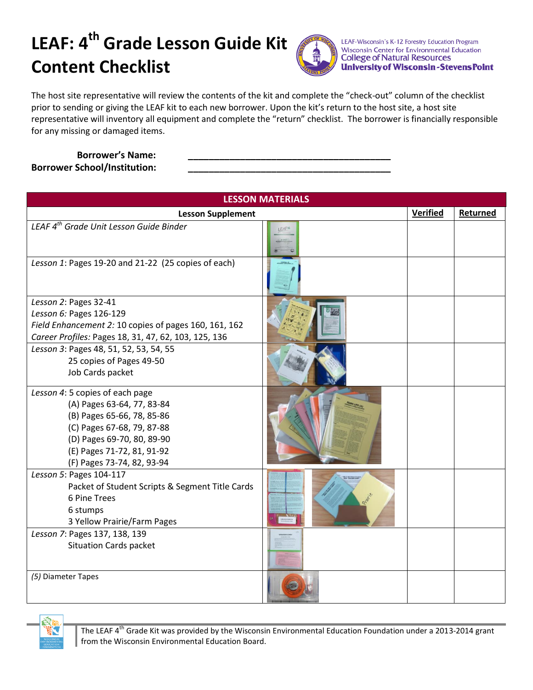## **LEAF: 4 th Grade Lesson Guide Kit Content Checklist**



LEAF-Wisconsin's K-12 Forestry Education Program Wisconsin Center for Environmental Education **College of Natural Resources University of Wisconsin-Stevens Point** 

The host site representative will review the contents of the kit and complete the "check-out" column of the checklist prior to sending or giving the LEAF kit to each new borrower. Upon the kit's return to the host site, a host site representative will inventory all equipment and complete the "return" checklist. The borrower is financially responsible for any missing or damaged items.

 **Borrower's Name: \_\_\_\_\_\_\_\_\_\_\_\_\_\_\_\_\_\_\_\_\_\_\_\_\_\_\_\_\_\_\_\_\_\_\_\_\_\_\_ Borrower School/Institution:** 

| <b>LESSON MATERIALS</b>                                                                                                                                                                                             |  |  |          |  |  |
|---------------------------------------------------------------------------------------------------------------------------------------------------------------------------------------------------------------------|--|--|----------|--|--|
| <b>Lesson Supplement</b>                                                                                                                                                                                            |  |  | Returned |  |  |
| LEAF 4 <sup>th</sup> Grade Unit Lesson Guide Binder                                                                                                                                                                 |  |  |          |  |  |
| Lesson 1: Pages 19-20 and 21-22 (25 copies of each)                                                                                                                                                                 |  |  |          |  |  |
| Lesson 2: Pages 32-41<br>Lesson 6: Pages 126-129<br>Field Enhancement 2: 10 copies of pages 160, 161, 162<br>Career Profiles: Pages 18, 31, 47, 62, 103, 125, 136                                                   |  |  |          |  |  |
| Lesson 3: Pages 48, 51, 52, 53, 54, 55<br>25 copies of Pages 49-50<br>Job Cards packet                                                                                                                              |  |  |          |  |  |
| Lesson 4: 5 copies of each page<br>(A) Pages 63-64, 77, 83-84<br>(B) Pages 65-66, 78, 85-86<br>(C) Pages 67-68, 79, 87-88<br>(D) Pages 69-70, 80, 89-90<br>(E) Pages 71-72, 81, 91-92<br>(F) Pages 73-74, 82, 93-94 |  |  |          |  |  |
| Lesson 5: Pages 104-117<br>Packet of Student Scripts & Segment Title Cards<br>6 Pine Trees<br>6 stumps<br>3 Yellow Prairie/Farm Pages                                                                               |  |  |          |  |  |
| Lesson 7: Pages 137, 138, 139<br><b>Situation Cards packet</b>                                                                                                                                                      |  |  |          |  |  |
| (5) Diameter Tapes                                                                                                                                                                                                  |  |  |          |  |  |



The LEAF 4<sup>th</sup> Grade Kit was provided by the Wisconsin Environmental Education Foundation under a 2013-2014 grant from the Wisconsin Environmental Education Board.